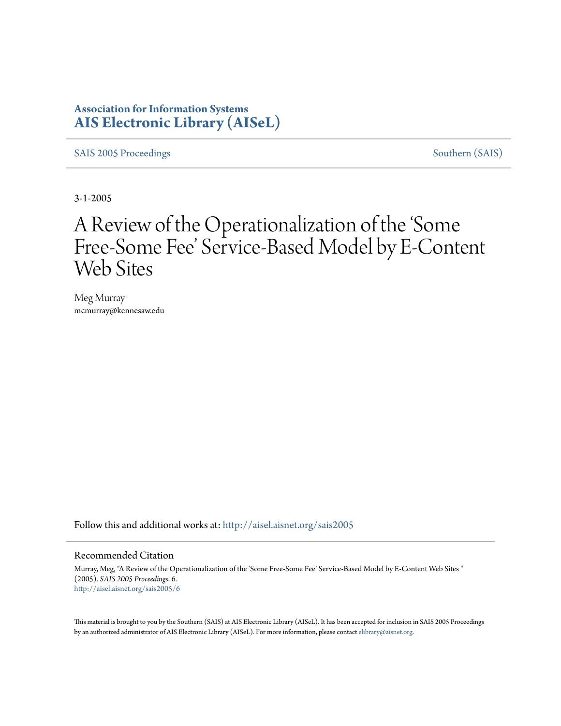# **Association for Information Systems [AIS Electronic Library \(AISeL\)](http://aisel.aisnet.org?utm_source=aisel.aisnet.org%2Fsais2005%2F6&utm_medium=PDF&utm_campaign=PDFCoverPages)**

[SAIS 2005 Proceedings](http://aisel.aisnet.org/sais2005?utm_source=aisel.aisnet.org%2Fsais2005%2F6&utm_medium=PDF&utm_campaign=PDFCoverPages) [Southern \(SAIS\)](http://aisel.aisnet.org/sais?utm_source=aisel.aisnet.org%2Fsais2005%2F6&utm_medium=PDF&utm_campaign=PDFCoverPages)

3-1-2005

# A Review of the Operationalization of the 'Some Free-Some Fee' Service-Based Model by E-Content Web Sites

Meg Murray mcmurray@kennesaw.edu

Follow this and additional works at: [http://aisel.aisnet.org/sais2005](http://aisel.aisnet.org/sais2005?utm_source=aisel.aisnet.org%2Fsais2005%2F6&utm_medium=PDF&utm_campaign=PDFCoverPages)

#### Recommended Citation

Murray, Meg, "A Review of the Operationalization of the 'Some Free-Some Fee' Service-Based Model by E-Content Web Sites " (2005). *SAIS 2005 Proceedings*. 6. [http://aisel.aisnet.org/sais2005/6](http://aisel.aisnet.org/sais2005/6?utm_source=aisel.aisnet.org%2Fsais2005%2F6&utm_medium=PDF&utm_campaign=PDFCoverPages)

This material is brought to you by the Southern (SAIS) at AIS Electronic Library (AISeL). It has been accepted for inclusion in SAIS 2005 Proceedings by an authorized administrator of AIS Electronic Library (AISeL). For more information, please contact [elibrary@aisnet.org](mailto:elibrary@aisnet.org%3E).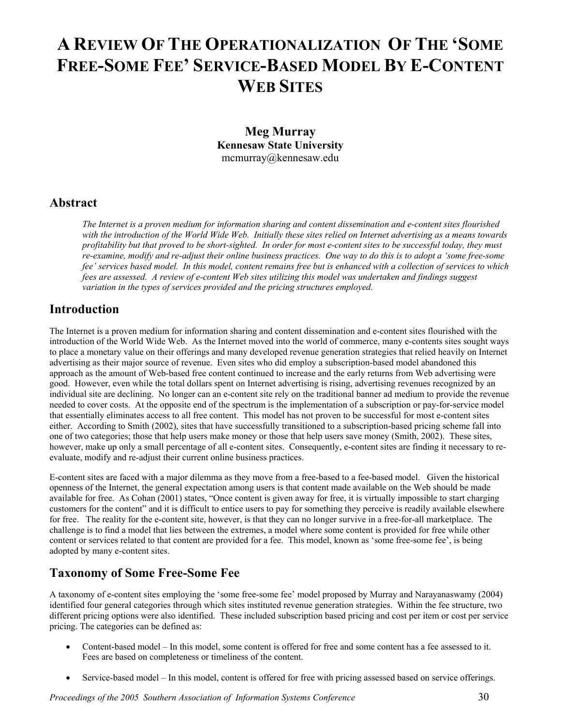# **A REVIEW OF THE OPERATIONALIZATION OF THE 'SOME FREE-SOME FEE' SERVICE-BASED MODEL BY E-CONTENT WEB SITES**

**Meg Murray Kennesaw State University**  mcmurray@kennesaw.edu

### **Abstract**

*The Internet is a proven medium for information sharing and content dissemination and e-content sites flourished with the introduction of the World Wide Web. Initially these sites relied on Internet advertising as a means towards profitability but that proved to be short-sighted. In order for most e-content sites to be successful today, they must re-examine, modify and re-adjust their online business practices. One way to do this is to adopt a 'some free-some fee' services based model. In this model, content remains free but is enhanced with a collection of services to which fees are assessed. A review of e-content Web sites utilizing this model was undertaken and findings suggest variation in the types of services provided and the pricing structures employed.* 

## **Introduction**

The Internet is a proven medium for information sharing and content dissemination and e-content sites flourished with the introduction of the World Wide Web. As the Internet moved into the world of commerce, many e-contents sites sought ways to place a monetary value on their offerings and many developed revenue generation strategies that relied heavily on Internet advertising as their major source of revenue. Even sites who did employ a subscription-based model abandoned this approach as the amount of Web-based free content continued to increase and the early returns from Web advertising were good. However, even while the total dollars spent on Internet advertising is rising, advertising revenues recognized by an individual site are declining. No longer can an e-content site rely on the traditional banner ad medium to provide the revenue needed to cover costs. At the opposite end of the spectrum is the implementation of a subscription or pay-for-service model that essentially eliminates access to all free content. This model has not proven to be successful for most e-content sites either. According to Smith (2002), sites that have successfully transitioned to a subscription-based pricing scheme fall into one of two categories; those that help users make money or those that help users save money (Smith, 2002). These sites, however, make up only a small percentage of all e-content sites. Consequently, e-content sites are finding it necessary to reevaluate, modify and re-adjust their current online business practices.

E-content sites are faced with a major dilemma as they move from a free-based to a fee-based model. Given the historical openness of the Internet, the general expectation among users is that content made available on the Web should be made available for free. As Cohan (2001) states, "Once content is given away for free, it is virtually impossible to start charging customers for the content" and it is difficult to entice users to pay for something they perceive is readily available elsewhere for free. The reality for the e-content site, however, is that they can no longer survive in a free-for-all marketplace. The challenge is to find a model that lies between the extremes, a model where some content is provided for free while other content or services related to that content are provided for a fee. This model, known as 'some free-some fee', is being adopted by many e-content sites.

## **Taxonomy of Some Free-Some Fee**

A taxonomy of e-content sites employing the 'some free-some fee' model proposed by Murray and Narayanaswamy (2004) identified four general categories through which sites instituted revenue generation strategies. Within the fee structure, two different pricing options were also identified. These included subscription based pricing and cost per item or cost per service pricing. The categories can be defined as:

- Content-based model In this model, some content is offered for free and some content has a fee assessed to it. Fees are based on completeness or timeliness of the content.
- Service-based model In this model, content is offered for free with pricing assessed based on service offerings.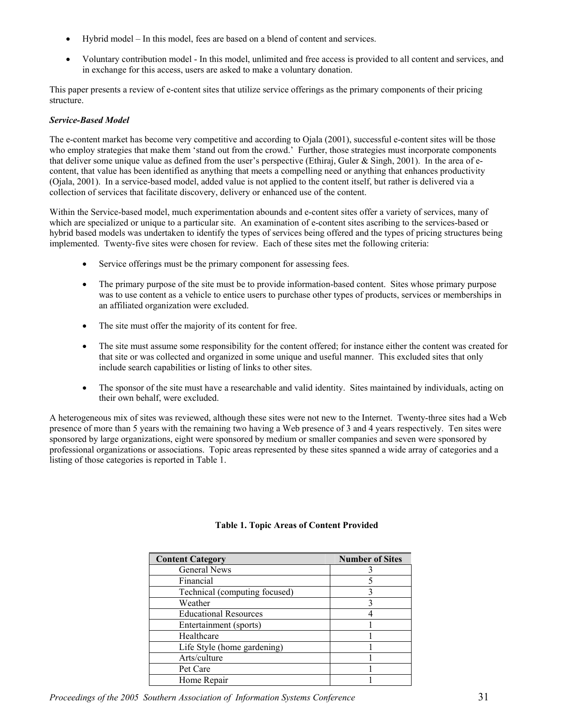- Hybrid model In this model, fees are based on a blend of content and services.
- Voluntary contribution model In this model, unlimited and free access is provided to all content and services, and in exchange for this access, users are asked to make a voluntary donation.

This paper presents a review of e-content sites that utilize service offerings as the primary components of their pricing structure.

#### *Service-Based Model*

The e-content market has become very competitive and according to Ojala (2001), successful e-content sites will be those who employ strategies that make them 'stand out from the crowd.' Further, those strategies must incorporate components that deliver some unique value as defined from the user's perspective (Ethiraj, Guler & Singh, 2001). In the area of econtent, that value has been identified as anything that meets a compelling need or anything that enhances productivity (Ojala, 2001). In a service-based model, added value is not applied to the content itself, but rather is delivered via a collection of services that facilitate discovery, delivery or enhanced use of the content.

Within the Service-based model, much experimentation abounds and e-content sites offer a variety of services, many of which are specialized or unique to a particular site. An examination of e-content sites ascribing to the services-based or hybrid based models was undertaken to identify the types of services being offered and the types of pricing structures being implemented. Twenty-five sites were chosen for review. Each of these sites met the following criteria:

- Service offerings must be the primary component for assessing fees.
- The primary purpose of the site must be to provide information-based content. Sites whose primary purpose was to use content as a vehicle to entice users to purchase other types of products, services or memberships in an affiliated organization were excluded.
- The site must offer the majority of its content for free.
- The site must assume some responsibility for the content offered; for instance either the content was created for that site or was collected and organized in some unique and useful manner. This excluded sites that only include search capabilities or listing of links to other sites.
- The sponsor of the site must have a researchable and valid identity. Sites maintained by individuals, acting on their own behalf, were excluded.

A heterogeneous mix of sites was reviewed, although these sites were not new to the Internet. Twenty-three sites had a Web presence of more than 5 years with the remaining two having a Web presence of 3 and 4 years respectively. Ten sites were sponsored by large organizations, eight were sponsored by medium or smaller companies and seven were sponsored by professional organizations or associations. Topic areas represented by these sites spanned a wide array of categories and a listing of those categories is reported in Table 1.

| <b>Content Category</b>       | <b>Number of Sites</b> |
|-------------------------------|------------------------|
| General News                  |                        |
| Financial                     |                        |
| Technical (computing focused) |                        |
| Weather                       |                        |
| <b>Educational Resources</b>  |                        |
| Entertainment (sports)        |                        |
| Healthcare                    |                        |
| Life Style (home gardening)   |                        |
| Arts/culture                  |                        |
| Pet Care                      |                        |
| Home Repair                   |                        |

#### **Table 1. Topic Areas of Content Provided**

*Proceedings of the 2005 Southern Association of Information Systems Conference* 31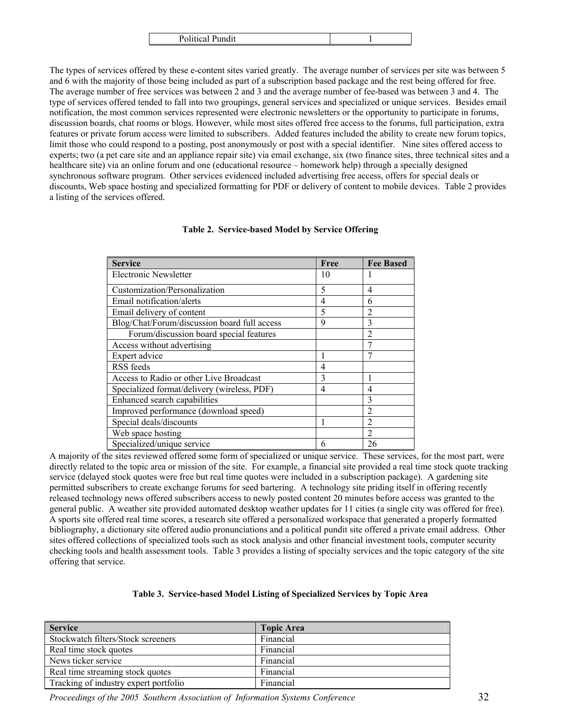| <b>Political Pundit</b> |  |
|-------------------------|--|
|                         |  |

The types of services offered by these e-content sites varied greatly. The average number of services per site was between 5 and 6 with the majority of those being included as part of a subscription based package and the rest being offered for free. The average number of free services was between 2 and 3 and the average number of fee-based was between 3 and 4. The type of services offered tended to fall into two groupings, general services and specialized or unique services. Besides email notification, the most common services represented were electronic newsletters or the opportunity to participate in forums, discussion boards, chat rooms or blogs. However, while most sites offered free access to the forums, full participation, extra features or private forum access were limited to subscribers. Added features included the ability to create new forum topics, limit those who could respond to a posting, post anonymously or post with a special identifier. Nine sites offered access to experts; two (a pet care site and an appliance repair site) via email exchange, six (two finance sites, three technical sites and a healthcare site) via an online forum and one (educational resource – homework help) through a specially designed synchronous software program. Other services evidenced included advertising free access, offers for special deals or discounts, Web space hosting and specialized formatting for PDF or delivery of content to mobile devices. Table 2 provides a listing of the services offered.

| <b>Service</b>                               | Free           | <b>Fee Based</b> |
|----------------------------------------------|----------------|------------------|
| Electronic Newsletter                        | 10             |                  |
| Customization/Personalization                | 5              | 4                |
| Email notification/alerts                    | $\overline{4}$ | 6                |
| Email delivery of content                    | 5              | $\overline{2}$   |
| Blog/Chat/Forum/discussion board full access | 9              | $\mathbf{3}$     |
| Forum/discussion board special features      |                | $\overline{2}$   |
| Access without advertising                   |                |                  |
| Expert advice                                |                |                  |
| RSS feeds                                    | 4              |                  |
| Access to Radio or other Live Broadcast      | 3              |                  |
| Specialized format/delivery (wireless, PDF)  | $\overline{4}$ | 4                |
| Enhanced search capabilities                 |                | 3                |
| Improved performance (download speed)        |                | $\overline{2}$   |
| Special deals/discounts                      |                | $\overline{c}$   |
| Web space hosting                            |                | $\mathfrak{D}$   |
| Specialized/unique service                   | 6              | 26               |

#### **Table 2. Service-based Model by Service Offering**

A majority of the sites reviewed offered some form of specialized or unique service. These services, for the most part, were directly related to the topic area or mission of the site. For example, a financial site provided a real time stock quote tracking service (delayed stock quotes were free but real time quotes were included in a subscription package). A gardening site permitted subscribers to create exchange forums for seed bartering. A technology site priding itself in offering recently released technology news offered subscribers access to newly posted content 20 minutes before access was granted to the general public. A weather site provided automated desktop weather updates for 11 cities (a single city was offered for free). A sports site offered real time scores, a research site offered a personalized workspace that generated a properly formatted bibliography, a dictionary site offered audio pronunciations and a political pundit site offered a private email address. Other sites offered collections of specialized tools such as stock analysis and other financial investment tools, computer security checking tools and health assessment tools. Table 3 provides a listing of specialty services and the topic category of the site offering that service.

#### **Table 3. Service-based Model Listing of Specialized Services by Topic Area**

| <b>Service</b>                        | <b>Topic Area</b> |
|---------------------------------------|-------------------|
| Stockwatch filters/Stock screeners    | Financial         |
| Real time stock quotes                | Financial         |
| News ticker service                   | Financial         |
| Real time streaming stock quotes      | Financial         |
| Tracking of industry expert portfolio | Financial         |

*Proceedings of the 2005 Southern Association of Information Systems Conference* 32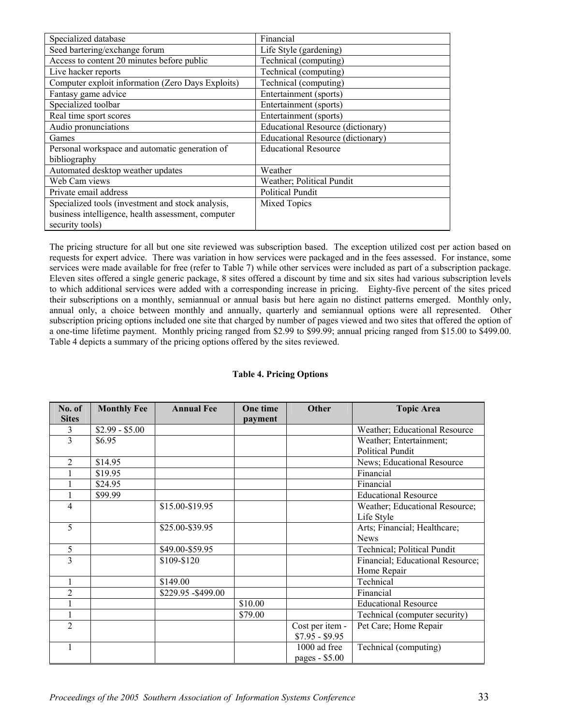| Specialized database                               | Financial                         |
|----------------------------------------------------|-----------------------------------|
| Seed bartering/exchange forum                      | Life Style (gardening)            |
| Access to content 20 minutes before public         | Technical (computing)             |
| Live hacker reports                                | Technical (computing)             |
| Computer exploit information (Zero Days Exploits)  | Technical (computing)             |
| Fantasy game advice                                | Entertainment (sports)            |
| Specialized toolbar                                | Entertainment (sports)            |
| Real time sport scores                             | Entertainment (sports)            |
| Audio pronunciations                               | Educational Resource (dictionary) |
| Games                                              | Educational Resource (dictionary) |
| Personal workspace and automatic generation of     | <b>Educational Resource</b>       |
| bibliography                                       |                                   |
| Automated desktop weather updates                  | Weather                           |
| Web Cam views                                      | Weather; Political Pundit         |
| Private email address                              | <b>Political Pundit</b>           |
| Specialized tools (investment and stock analysis,  | Mixed Topics                      |
| business intelligence, health assessment, computer |                                   |
| security tools)                                    |                                   |

The pricing structure for all but one site reviewed was subscription based. The exception utilized cost per action based on requests for expert advice. There was variation in how services were packaged and in the fees assessed. For instance, some services were made available for free (refer to Table 7) while other services were included as part of a subscription package. Eleven sites offered a single generic package, 8 sites offered a discount by time and six sites had various subscription levels to which additional services were added with a corresponding increase in pricing. Eighty-five percent of the sites priced their subscriptions on a monthly, semiannual or annual basis but here again no distinct patterns emerged. Monthly only, annual only, a choice between monthly and annually, quarterly and semiannual options were all represented. Other subscription pricing options included one site that charged by number of pages viewed and two sites that offered the option of a one-time lifetime payment. Monthly pricing ranged from \$2.99 to \$99.99; annual pricing ranged from \$15.00 to \$499.00. Table 4 depicts a summary of the pricing options offered by the sites reviewed.

#### **Table 4. Pricing Options**

| No. of         | <b>Monthly Fee</b> | <b>Annual Fee</b>   | One time | Other           | <b>Topic Area</b>                |
|----------------|--------------------|---------------------|----------|-----------------|----------------------------------|
| <b>Sites</b>   |                    |                     | payment  |                 |                                  |
| 3              | $$2.99 - $5.00$    |                     |          |                 | Weather; Educational Resource    |
| 3              | \$6.95             |                     |          |                 | Weather; Entertainment;          |
|                |                    |                     |          |                 | <b>Political Pundit</b>          |
| 2              | \$14.95            |                     |          |                 | News; Educational Resource       |
|                | \$19.95            |                     |          |                 | Financial                        |
|                | \$24.95            |                     |          |                 | Financial                        |
|                | \$99.99            |                     |          |                 | <b>Educational Resource</b>      |
| 4              |                    | \$15.00-\$19.95     |          |                 | Weather; Educational Resource;   |
|                |                    |                     |          |                 | Life Style                       |
| 5              |                    | \$25.00-\$39.95     |          |                 | Arts; Financial; Healthcare;     |
|                |                    |                     |          |                 | <b>News</b>                      |
| 5              |                    | \$49.00-\$59.95     |          |                 | Technical; Political Pundit      |
| $\overline{3}$ |                    | \$109-\$120         |          |                 | Financial; Educational Resource; |
|                |                    |                     |          |                 | Home Repair                      |
|                |                    | \$149.00            |          |                 | Technical                        |
| $\overline{2}$ |                    | \$229.95 - \$499.00 |          |                 | Financial                        |
|                |                    |                     | \$10.00  |                 | <b>Educational Resource</b>      |
|                |                    |                     | \$79.00  |                 | Technical (computer security)    |
| $\overline{2}$ |                    |                     |          | Cost per item - | Pet Care; Home Repair            |
|                |                    |                     |          | $$7.95 - $9.95$ |                                  |
|                |                    |                     |          | 1000 ad free    | Technical (computing)            |
|                |                    |                     |          | pages - \$5.00  |                                  |